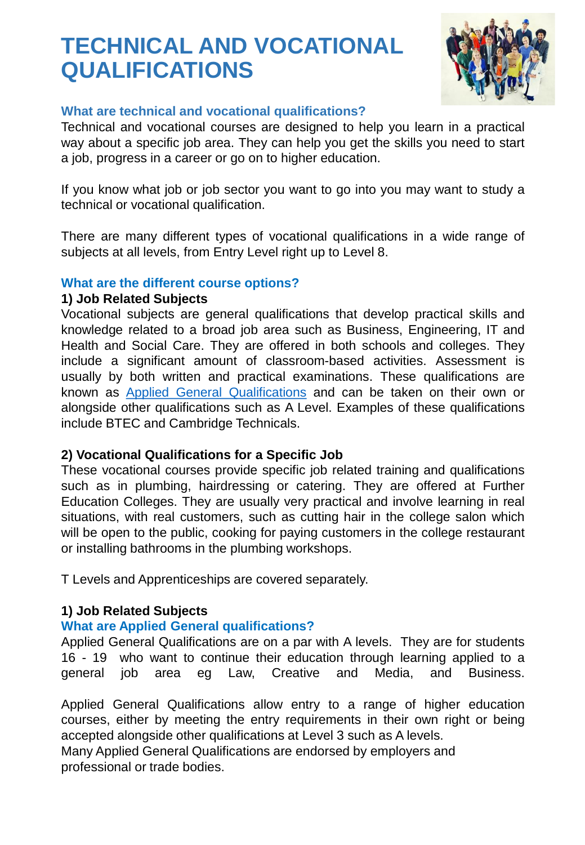# **TECHNICAL AND VOCATIONAL QUALIFICATIONS**



#### **What are technical and vocational qualifications?**

Technical and vocational courses are designed to help you learn in a practical way about a specific job area. They can help you get the skills you need to start a job, progress in a career or go on to higher education.

If you know what job or job sector you want to go into you may want to study a technical or vocational qualification.

There are many different types of vocational qualifications in a wide range of subjects at all levels, from Entry Level right up to Level 8.

#### **What are the different course options?**

#### **1) Job Related Subjects**

Vocational subjects are general qualifications that develop practical skills and knowledge related to a broad job area such as Business, Engineering, IT and Health and Social Care. They are offered in both schools and colleges. They include a significant amount of classroom-based activities. Assessment is usually by both written and practical examinations. These qualifications are known as Applied General [Qualifications](https://www.careerpilot.org.uk/information/vocational-qualifications/types-of-vocational-qualifications/applied-general-qualifications) and can be taken on their own or alongside other qualifications such as A Level. Examples of these qualifications include BTEC and Cambridge Technicals.

#### **2) Vocational Qualifications for a Specific Job**

These vocational courses provide specific job related training and qualifications such as in plumbing, hairdressing or catering. They are offered at Further Education Colleges. They are usually very practical and involve learning in real situations, with real customers, such as cutting hair in the college salon which will be open to the public, cooking for paying customers in the college restaurant or installing bathrooms in the plumbing workshops.

T Levels and Apprenticeships are covered separately.

# **1) Job Related Subjects**

# **What are Applied General qualifications?**

Applied General Qualifications are on a par with A levels. They are for students 16 - 19 who want to continue their education through learning applied to a general job area eg Law, Creative and Media, and Business.

Applied General Qualifications allow entry to a range of higher education courses, either by meeting the entry requirements in their own right or being accepted alongside other qualifications at Level 3 such as A levels. Many Applied General Qualifications are endorsed by employers and

professional or trade bodies.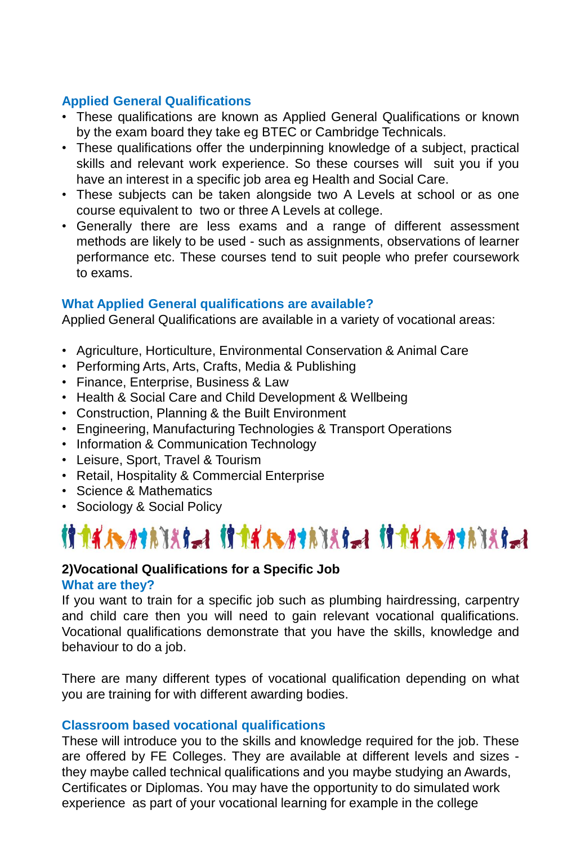### **Applied General Qualifications**

- These qualifications are known as Applied General Qualifications or known by the exam board they take eg BTEC or Cambridge Technicals.
- These qualifications offer the underpinning knowledge of a subject, practical skills and relevant work experience. So these courses will suit you if you have an interest in a specific job area eg Health and Social Care.
- These subjects can be taken alongside two A Levels at school or as one course equivalent to two or three A Levels at college.
- Generally there are less exams and a range of different assessment methods are likely to be used - such as assignments, observations of learner performance etc. These courses tend to suit people who prefer coursework to exams.

#### **What Applied General qualifications are available?**

Applied General Qualifications are available in a variety of vocational areas:

- Agriculture, Horticulture, Environmental Conservation & Animal Care
- Performing Arts, Arts, Crafts, Media & Publishing
- Finance, Enterprise, Business & Law
- Health & Social Care and Child Development & Wellbeing
- Construction, Planning & the Built Environment
- Engineering, Manufacturing Technologies & Transport Operations
- Information & Communication Technology
- Leisure, Sport, Travel & Tourism
- Retail, Hospitality & Commercial Enterprise
- Science & Mathematics
- Sociology & Social Policy

# 

#### **2)Vocational Qualifications for a Specific Job What are they?**

If you want to train for a specific job such as plumbing hairdressing, carpentry and child care then you will need to gain relevant vocational qualifications. Vocational qualifications demonstrate that you have the skills, knowledge and behaviour to do a job.

There are many different types of vocational qualification depending on what you are training for with different awarding bodies.

#### **Classroom based vocational qualifications**

These will introduce you to the skills and knowledge required for the job. These are offered by FE Colleges. They are available at different levels and sizes they maybe called technical qualifications and you maybe studying an Awards, Certificates or Diplomas. You may have the opportunity to do simulated work experience as part of your vocational learning for example in the college